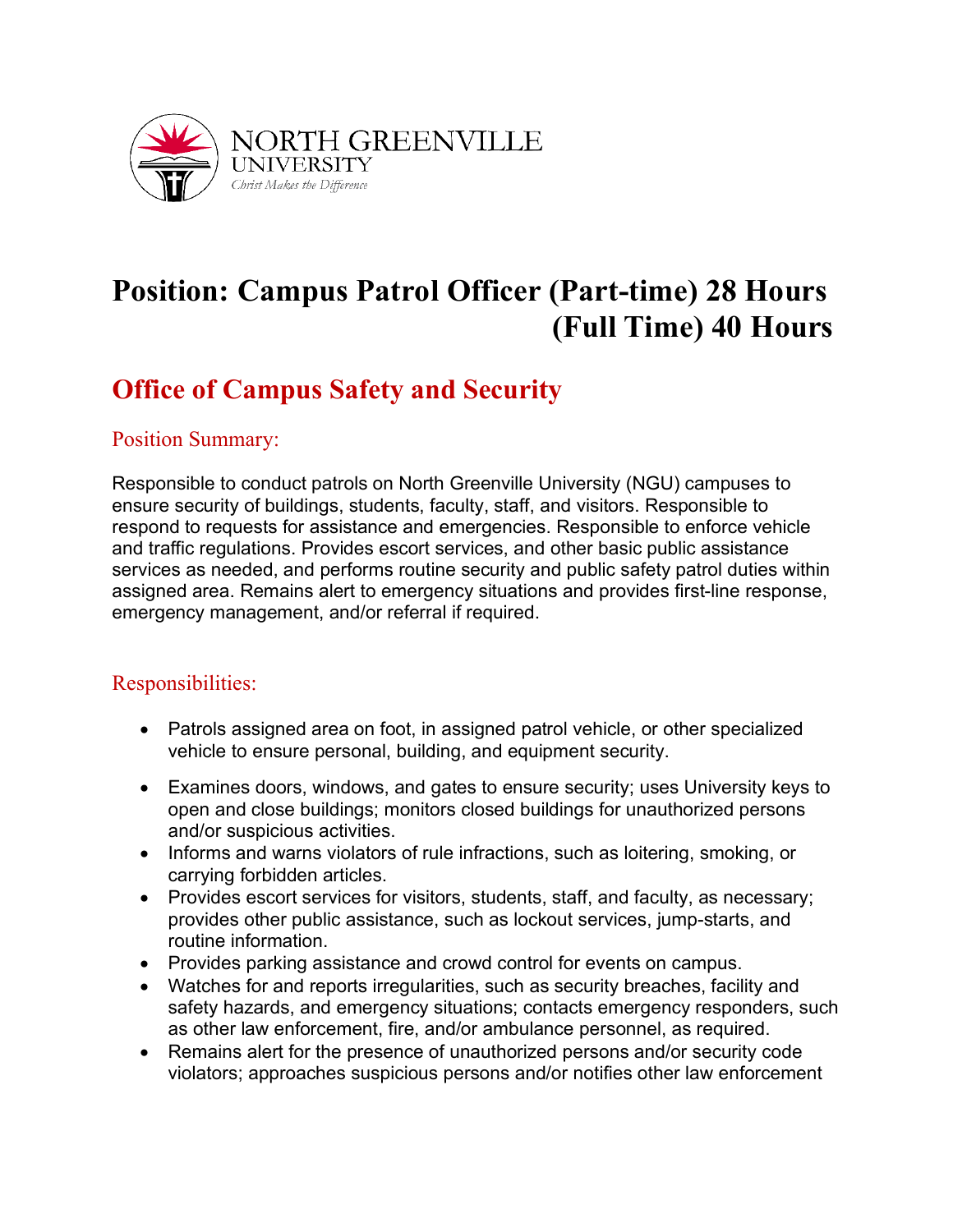

# **Position: Campus Patrol Officer (Part-time) 28 Hours (Full Time) 40 Hours**

## **Office of Campus Safety and Security**

#### Position Summary:

Responsible to conduct patrols on North Greenville University (NGU) campuses to ensure security of buildings, students, faculty, staff, and visitors. Responsible to respond to requests for assistance and emergencies. Responsible to enforce vehicle and traffic regulations. Provides escort services, and other basic public assistance services as needed, and performs routine security and public safety patrol duties within assigned area. Remains alert to emergency situations and provides first-line response, emergency management, and/or referral if required.

### Responsibilities:

- Patrols assigned area on foot, in assigned patrol vehicle, or other specialized vehicle to ensure personal, building, and equipment security.
- Examines doors, windows, and gates to ensure security; uses University keys to open and close buildings; monitors closed buildings for unauthorized persons and/or suspicious activities.
- Informs and warns violators of rule infractions, such as loitering, smoking, or carrying forbidden articles.
- Provides escort services for visitors, students, staff, and faculty, as necessary; provides other public assistance, such as lockout services, jump-starts, and routine information.
- Provides parking assistance and crowd control for events on campus.
- Watches for and reports irregularities, such as security breaches, facility and safety hazards, and emergency situations; contacts emergency responders, such as other law enforcement, fire, and/or ambulance personnel, as required.
- Remains alert for the presence of unauthorized persons and/or security code violators; approaches suspicious persons and/or notifies other law enforcement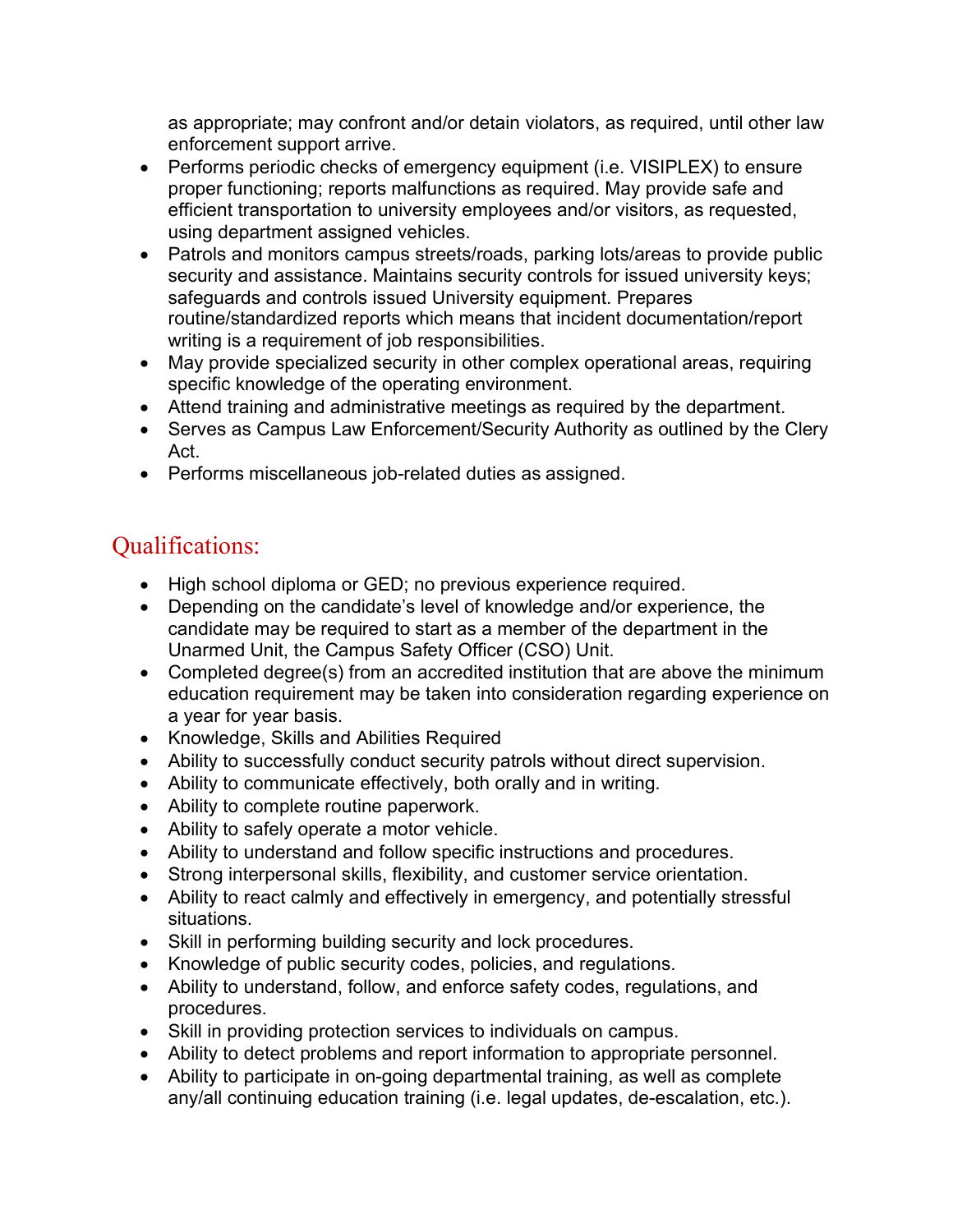as appropriate; may confront and/or detain violators, as required, until other law enforcement support arrive.

- Performs periodic checks of emergency equipment (i.e. VISIPLEX) to ensure proper functioning; reports malfunctions as required. May provide safe and efficient transportation to university employees and/or visitors, as requested, using department assigned vehicles.
- Patrols and monitors campus streets/roads, parking lots/areas to provide public security and assistance. Maintains security controls for issued university keys; safeguards and controls issued University equipment. Prepares routine/standardized reports which means that incident documentation/report writing is a requirement of job responsibilities.
- May provide specialized security in other complex operational areas, requiring specific knowledge of the operating environment.
- Attend training and administrative meetings as required by the department.
- Serves as Campus Law Enforcement/Security Authority as outlined by the Clery Act.
- Performs miscellaneous job-related duties as assigned.

## Qualifications:

- High school diploma or GED; no previous experience required.
- Depending on the candidate's level of knowledge and/or experience, the candidate may be required to start as a member of the department in the Unarmed Unit, the Campus Safety Officer (CSO) Unit.
- Completed degree(s) from an accredited institution that are above the minimum education requirement may be taken into consideration regarding experience on a year for year basis.
- Knowledge, Skills and Abilities Required
- Ability to successfully conduct security patrols without direct supervision.
- Ability to communicate effectively, both orally and in writing.
- Ability to complete routine paperwork.
- Ability to safely operate a motor vehicle.
- Ability to understand and follow specific instructions and procedures.
- Strong interpersonal skills, flexibility, and customer service orientation.
- Ability to react calmly and effectively in emergency, and potentially stressful situations.
- Skill in performing building security and lock procedures.
- Knowledge of public security codes, policies, and regulations.
- Ability to understand, follow, and enforce safety codes, regulations, and procedures.
- Skill in providing protection services to individuals on campus.
- Ability to detect problems and report information to appropriate personnel.
- Ability to participate in on-going departmental training, as well as complete any/all continuing education training (i.e. legal updates, de-escalation, etc.).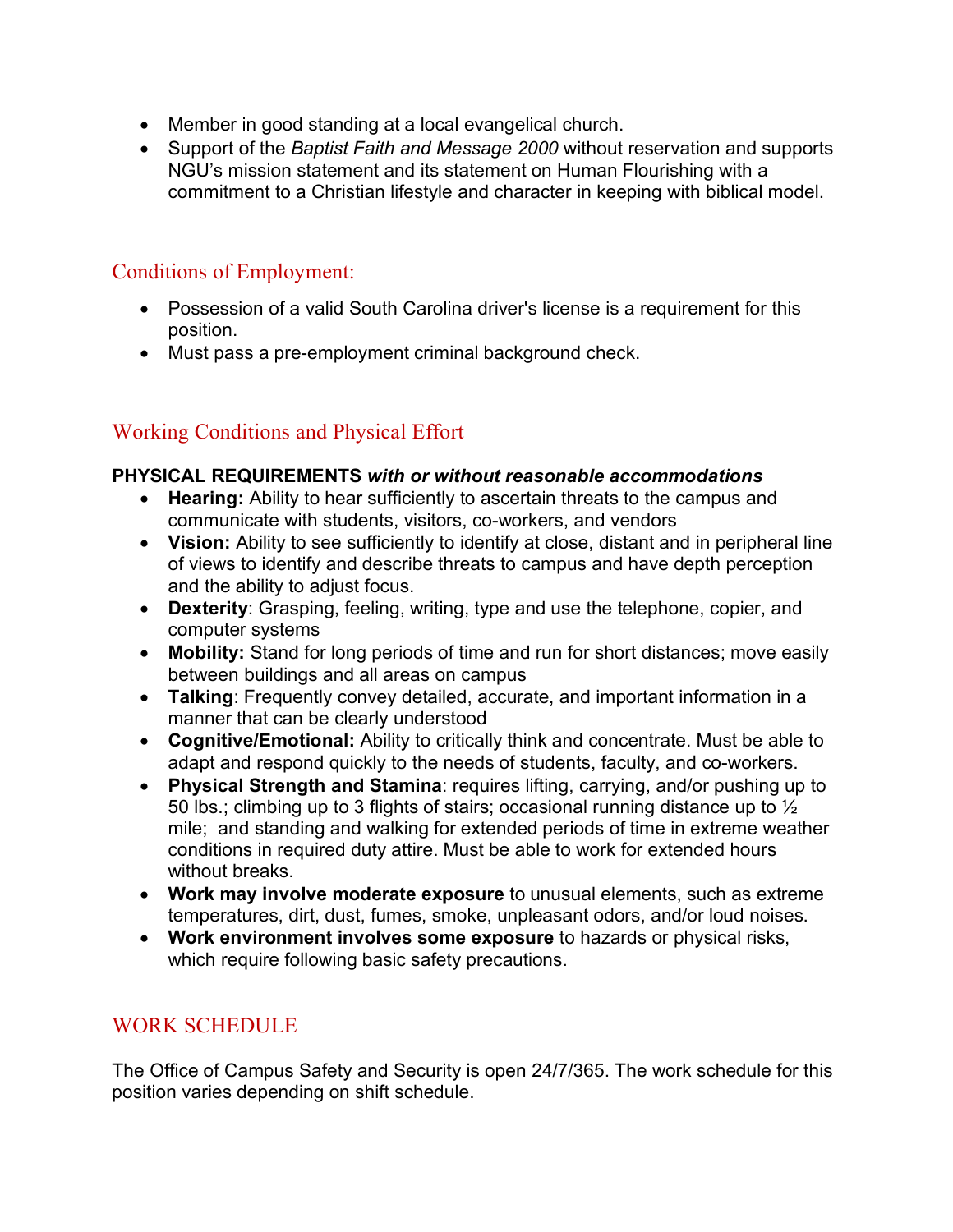- Member in good standing at a local evangelical church.
- Support of the *Baptist Faith and Message 2000* without reservation and supports NGU's mission statement and its statement on Human Flourishing with a commitment to a Christian lifestyle and character in keeping with biblical model.

## Conditions of Employment:

- Possession of a valid South Carolina driver's license is a requirement for this position.
- Must pass a pre-employment criminal background check.

## Working Conditions and Physical Effort

#### **PHYSICAL REQUIREMENTS** *with or without reasonable accommodations*

- **Hearing:** Ability to hear sufficiently to ascertain threats to the campus and communicate with students, visitors, co-workers, and vendors
- **Vision:** Ability to see sufficiently to identify at close, distant and in peripheral line of views to identify and describe threats to campus and have depth perception and the ability to adjust focus.
- **Dexterity**: Grasping, feeling, writing, type and use the telephone, copier, and computer systems
- **Mobility:** Stand for long periods of time and run for short distances; move easily between buildings and all areas on campus
- **Talking**: Frequently convey detailed, accurate, and important information in a manner that can be clearly understood
- **Cognitive/Emotional:** Ability to critically think and concentrate. Must be able to adapt and respond quickly to the needs of students, faculty, and co-workers.
- **Physical Strength and Stamina**: requires lifting, carrying, and/or pushing up to 50 lbs.; climbing up to 3 flights of stairs; occasional running distance up to  $\frac{1}{2}$ mile; and standing and walking for extended periods of time in extreme weather conditions in required duty attire. Must be able to work for extended hours without breaks.
- **Work may involve moderate exposure** to unusual elements, such as extreme temperatures, dirt, dust, fumes, smoke, unpleasant odors, and/or loud noises.
- **Work environment involves some exposure** to hazards or physical risks, which require following basic safety precautions.

## WORK SCHEDULE

The Office of Campus Safety and Security is open 24/7/365. The work schedule for this position varies depending on shift schedule.